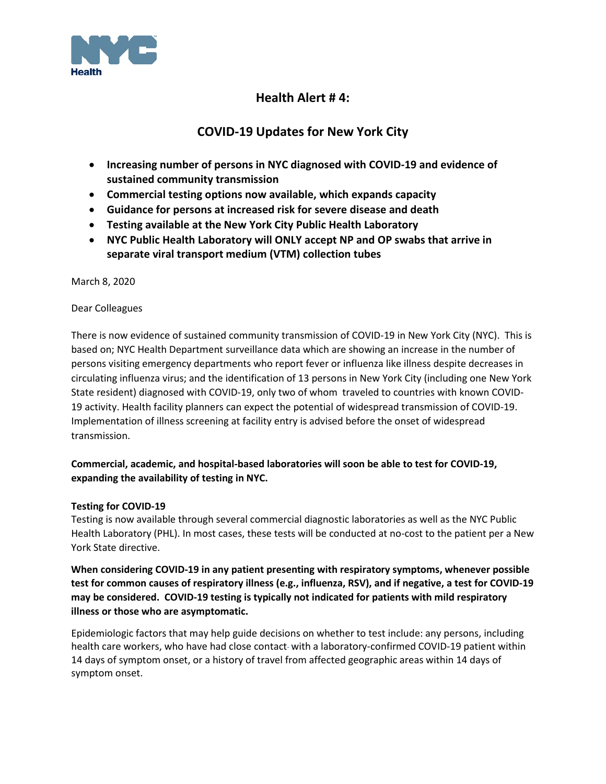

# **Health Alert # 4:**

# **COVID-19 Updates for New York City**

- **Increasing number of persons in NYC diagnosed with COVID-19 and evidence of sustained community transmission**
- **Commercial testing options now available, which expands capacity**
- **Guidance for persons at increased risk for severe disease and death**
- **Testing available at the New York City Public Health Laboratory**
- **NYC Public Health Laboratory will ONLY accept NP and OP swabs that arrive in separate viral transport medium (VTM) collection tubes**

March 8, 2020

Dear Colleagues

There is now evidence of sustained community transmission of COVID-19 in New York City (NYC). This is based on; NYC Health Department surveillance data which are showing an increase in the number of persons visiting emergency departments who report fever or influenza like illness despite decreases in circulating influenza virus; and the identification of 13 persons in New York City (including one New York State resident) diagnosed with COVID-19, only two of whom traveled to countries with known COVID-19 activity. Health facility planners can expect the potential of widespread transmission of COVID-19. Implementation of illness screening at facility entry is advised before the onset of widespread transmission.

## **Commercial, academic, and hospital-based laboratories will soon be able to test for COVID-19, expanding the availability of testing in NYC.**

### **Testing for COVID-19**

Testing is now available through several commercial diagnostic laboratories as well as the NYC Public Health Laboratory (PHL). In most cases, these tests will be conducted at no-cost to the patient per a New York State directive.

**When considering COVID-19 in any patient presenting with respiratory symptoms, whenever possible test for common causes of respiratory illness (e.g., influenza, RSV), and if negative, a test for COVID-19 may be considered. COVID-19 testing is typically not indicated for patients with mild respiratory illness or those who are asymptomatic.**

Epidemiologic factors that may help guide decisions on whether to test include: any persons, including health care workers, who have had close contact with a laboratory-confirmed COVID-19 patient within 14 days of symptom onset, or a history of travel from affected geographic areas within 14 days of symptom onset.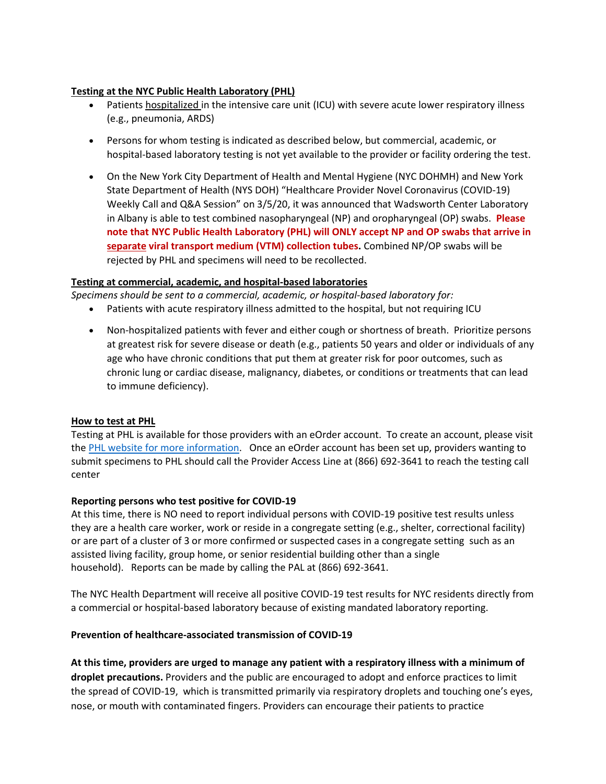#### **Testing at the NYC Public Health Laboratory (PHL)**

- Patients hospitalized in the intensive care unit (ICU) with severe acute lower respiratory illness (e.g., pneumonia, ARDS)
- Persons for whom testing is indicated as described below, but commercial, academic, or hospital-based laboratory testing is not yet available to the provider or facility ordering the test.
- On the New York City Department of Health and Mental Hygiene (NYC DOHMH) and New York State Department of Health (NYS DOH) "Healthcare Provider Novel Coronavirus (COVID-19) Weekly Call and Q&A Session" on 3/5/20, it was announced that Wadsworth Center Laboratory in Albany is able to test combined nasopharyngeal (NP) and oropharyngeal (OP) swabs. **Please note that NYC Public Health Laboratory (PHL) will ONLY accept NP and OP swabs that arrive in separate viral transport medium (VTM) collection tubes.** Combined NP/OP swabs will be rejected by PHL and specimens will need to be recollected.

#### **Testing at commercial, academic, and hospital-based laboratories**

*Specimens should be sent to a commercial, academic, or hospital-based laboratory for:*

- Patients with acute respiratory illness admitted to the hospital, but not requiring ICU
- Non-hospitalized patients with fever and either cough or shortness of breath. Prioritize persons at greatest risk for severe disease or death (e.g., patients 50 years and older or individuals of any age who have chronic conditions that put them at greater risk for poor outcomes, such as chronic lung or cardiac disease, malignancy, diabetes, or conditions or treatments that can lead to immune deficiency).

#### **How to test at PHL**

Testing at PHL is available for those providers with an eOrder account. To create an account, please visit the [PHL website for more information.](https://www1.nyc.gov/site/doh/providers/reporting-and-services/public-health-lab.page#forms) Once an eOrder account has been set up, providers wanting to submit specimens to PHL should call the Provider Access Line at (866) 692-3641 to reach the testing call center

#### **Reporting persons who test positive for COVID-19**

At this time, there is NO need to report individual persons with COVID-19 positive test results unless they are a health care worker, work or reside in a congregate setting (e.g., shelter, correctional facility) or are part of a cluster of 3 or more confirmed or suspected cases in a congregate setting such as an assisted living facility, group home, or senior residential building other than a single household). Reports can be made by calling the PAL at (866) 692-3641.

The NYC Health Department will receive all positive COVID-19 test results for NYC residents directly from a commercial or hospital-based laboratory because of existing mandated laboratory reporting.

### **Prevention of healthcare-associated transmission of COVID-19**

**At this time, providers are urged to manage any patient with a respiratory illness with a minimum of droplet precautions.** Providers and the public are encouraged to adopt and enforce practices to limit the spread of COVID-19, which is transmitted primarily via respiratory droplets and touching one's eyes, nose, or mouth with contaminated fingers. Providers can encourage their patients to practice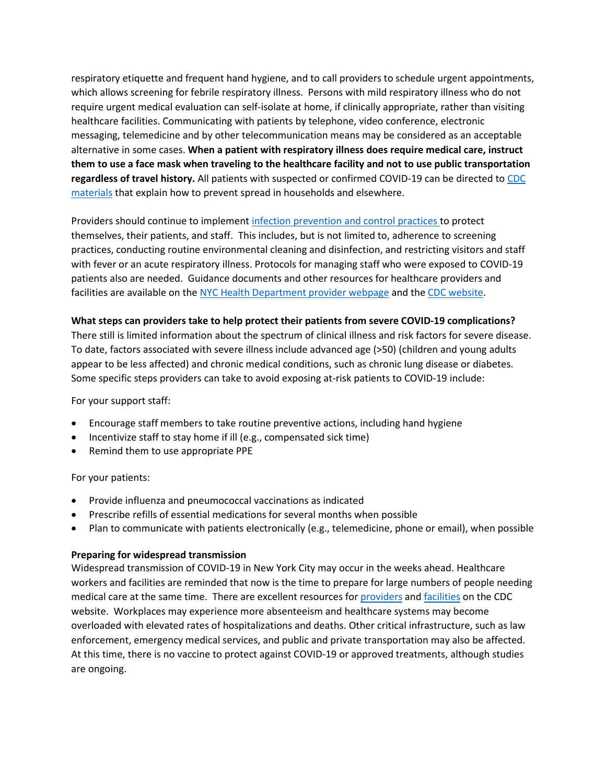respiratory etiquette and frequent hand hygiene, and to call providers to schedule urgent appointments, which allows screening for febrile respiratory illness. Persons with mild respiratory illness who do not require urgent medical evaluation can self-isolate at home, if clinically appropriate, rather than visiting healthcare facilities. Communicating with patients by telephone, video conference, electronic messaging, telemedicine and by other telecommunication means may be considered as an acceptable alternative in some cases. **When a patient with respiratory illness does require medical care, instruct them to use a face mask when traveling to the healthcare facility and not to use public transportation regardless of travel history.** All patients with suspected or confirmed COVID-19 can be directed t[o CDC](https://www.cdc.gov/coronavirus/2019-ncov/about/steps-when-sick.html)  [materials](https://www.cdc.gov/coronavirus/2019-ncov/about/steps-when-sick.html) that explain how to prevent spread in households and elsewhere.

Providers should continue to implement [infection prevention and control practices](https://www.cdc.gov/coronavirus/2019-ncov/infection-control/control-recommendations.html?CDC_AA_refVal=https%3A%2F%2Fwww.cdc.gov%2Fcoronavirus%2F2019-ncov%2Fhcp%2Finfection-control.html) to protect themselves, their patients, and staff. This includes, but is not limited to, adherence to screening practices, conducting routine environmental cleaning and disinfection, and restricting visitors and staff with fever or an acute respiratory illness. Protocols for managing staff who were exposed to COVID-19 patients also are needed. Guidance documents and other resources for healthcare providers and facilities are available on the [NYC Health Department provider webpage](https://www1.nyc.gov/site/doh/providers/health-topics/novel-respiratory-viruses.page) and th[e CDC website.](https://www.cdc.gov/coronavirus/2019-nCoV/hcp/index.html)

#### **What steps can providers take to help protect their patients from severe COVID-19 complications?**

There still is limited information about the spectrum of clinical illness and risk factors for severe disease. To date, factors associated with severe illness include advanced age (>50) (children and young adults appear to be less affected) and chronic medical conditions, such as chronic lung disease or diabetes. Some specific steps providers can take to avoid exposing at-risk patients to COVID-19 include:

For your support staff:

- Encourage staff members to take routine preventive actions, including hand hygiene
- Incentivize staff to stay home if ill (e.g., compensated sick time)
- Remind them to use appropriate PPE

#### For your patients:

- Provide influenza and pneumococcal vaccinations as indicated
- Prescribe refills of essential medications for several months when possible
- Plan to communicate with patients electronically (e.g., telemedicine, phone or email), when possible

#### **Preparing for widespread transmission**

Widespread transmission of COVID-19 in New York City may occur in the weeks ahead. Healthcare workers and facilities are reminded that now is the time to prepare for large numbers of people needing medical care at the same time. There are excellent resources fo[r providers](https://www.cdc.gov/coronavirus/2019-nCoV/hcp/index.html) an[d facilities](https://www.cdc.gov/coronavirus/2019-ncov/healthcare-facilities/index.html) on the CDC website. Workplaces may experience more absenteeism and healthcare systems may become overloaded with elevated rates of hospitalizations and deaths. Other critical infrastructure, such as law enforcement, emergency medical services, and public and private transportation may also be affected. At this time, there is no vaccine to protect against COVID-19 or approved treatments, although studies are ongoing.